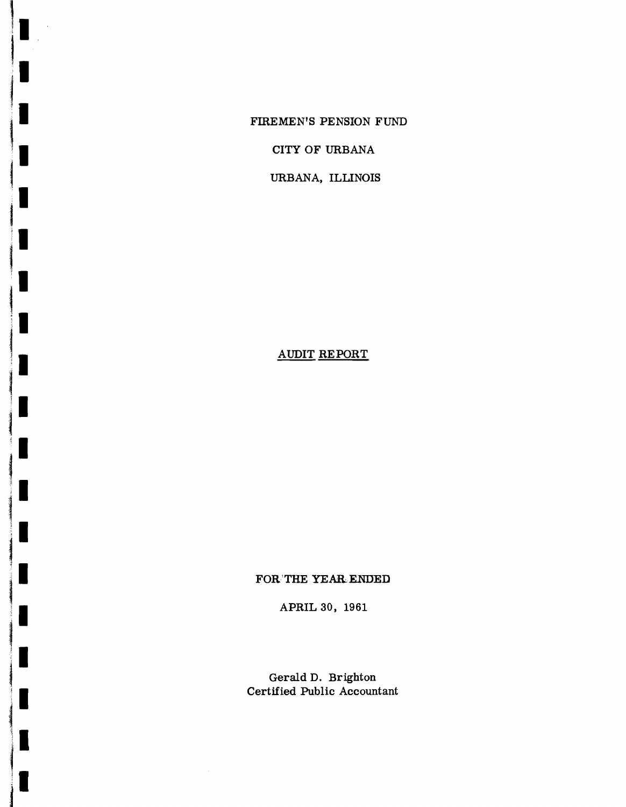FIREMEN'S PENSION FUND

CITY OF URBANA

URBANA, ILLINOIS

# AUDIT RE PORT

I

K

Ш

П

I

## FOR'THE YEAR-ENDED

APRIL 30, 1961

Gerald D. Brighton Certified Public Accountant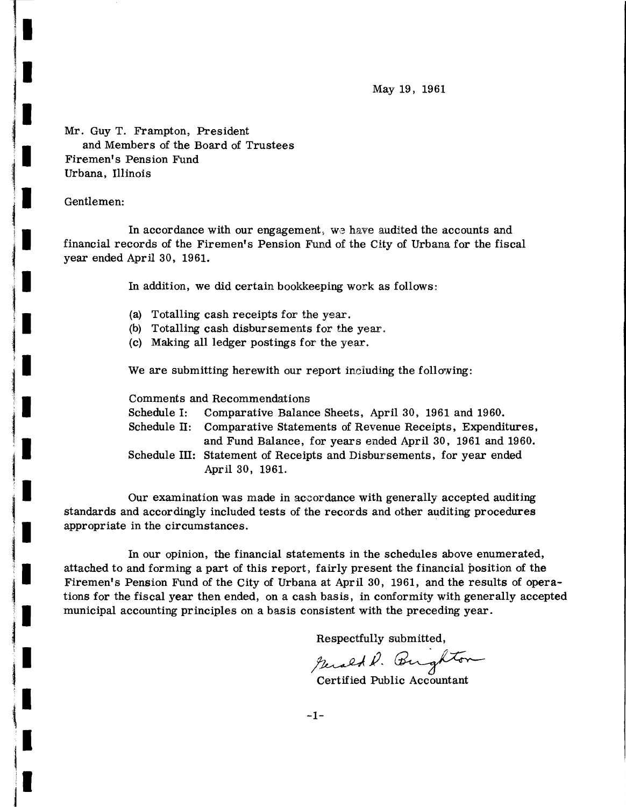May 19, 1961

Mr. GUy T. Frampton, President and Members of the Board of Trustees Firemen's Pension Fund Urbana, Illinois

### Gentlemen:

In accordance with our engagement, we have audited the accounts and financial records of the Firemen's Pension Fund of the City of Urbana for the fiscal year ended April 30, 1961.

In addition, we did certain bookkeeping work as follows:

- (a) Totalling cash receipts for the year.
- (b) Totalling cash disbursements for the year.
- (c) Making all ledger postings for the year.

We are submitting herewith our report including the following:

Comments and Recommendations

- Schedule I: Comparative Balance Sheets, April 30, 1961 and 1960.
- Schedule II: Comparative Statements of Revenue Receipts, Expenditures, and Fund Balance, for years ended April 30, 1961 and 1960.

Schedule III: Statement of Receipts and Disbursements, for year ended April 30, 1961.

Our examination was made in accordance with generally accepted auditing standards and accordingly included tests of the records and other auditing procedures appropriate in the circumstances.

In our opinion, the financial statements in the schedules above enumerated, attached to and forming a part of this report, fairly present the financial position of the Firemen's Pension Fund of the City of Urbana at April 30, 1961, and the results of operations for the fiscal year then ended, on a cash basis, in conformity with generally accepted municipal accounting principles on a basis consistent with the preceding year.

Respectfully submitted,

Respecting Summer.

Certified Public Accountant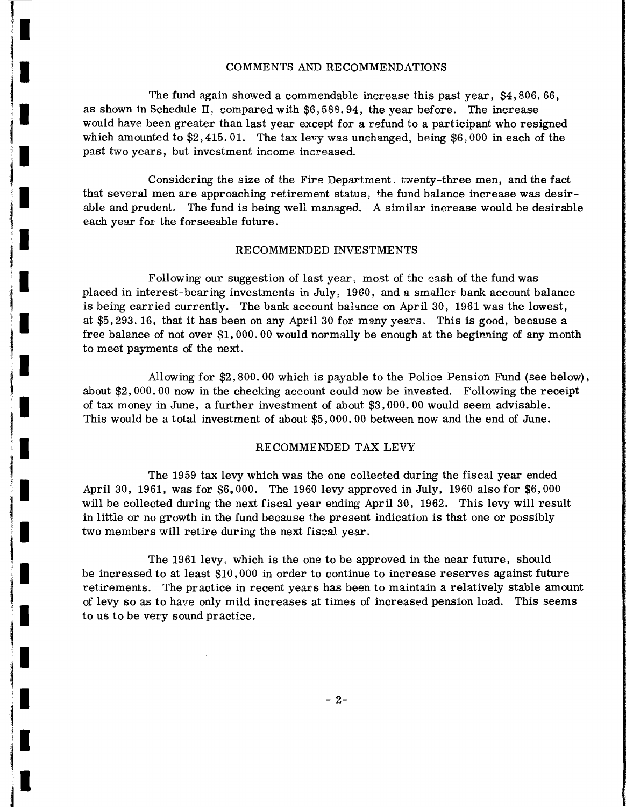#### COMMENTS AND RECOMMENDATIONS

The fund again showed a commendable increase this past year, \$4,806. 66. as shown in Schedule II, compared with  $$6,588.94$ , the year before. The increase would have been greater than last year except for a refund to a participant who resigned which amounted to  $$2,415.01$ . The tax levy was unchanged, being  $$6,000$  in each of the past two years, but investment income increased.

Considering the size of the Fire Department, twenty-three men, and the fact that several men are approaching retirement status, the fund balance increase was desirable and prudent. The fund is being well managed. A similar increase would be desirable each year for the forseeable future.

#### RECOMMENDED INVESTMENTS

Following our suggestion of last year, most of the cash of the fund was placed in interest-bearing investments in July, 1960, and a smaller bank account balance is being carried currently. The bank account balance on April 30, 1961 was the lowest, at \$5,293.16, that it has been on any April 30 for many years. This is good, because a free balance of not over \$1,000.00 would normally be enough at the beginning of any month to meet payments of the next.

Allowing for \$2,800.00 which is payable to the Police Pension Fund (see below), about \$2,000.00 now in the checking account could now be invested. Following the receipt of tax money in June, a further investment of about \$3,000.00 would seem advisable. This would be a total investment of about \$5,000.00 between now and the end of June.

#### RECOMMENDED TAX LEVY

The 1959 tax levy which was the one collected during the fiscal year ended April 30, 1961, was for  $$6,000$ . The 1960 levy approved in July, 1960 also for  $$6,000$ will be collected during the next fiscal year ending April 30, 1962. This levy will result in little or no growth in the fund because the present indication is that one or possibly two members will retire during the next fiscal year.

The 1961 levy, which is the one to be approved in the near future, should be increased to at least \$10,000 in order to continue to increase reserves against future retirements. The practice in recent years has been to maintain a relatively stable amount of levy so as to have only mild increases at times of increased pension load. This seems to us to be very sound practice.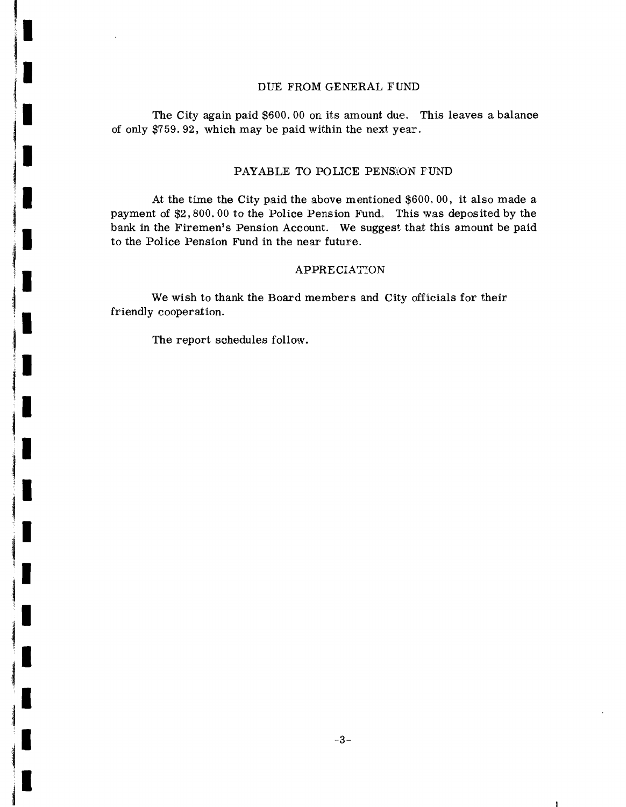#### DUE FROM GENERAL FUND

The City again paid \$600. 00 on its amount due. This leaves a balance of only \$759.92, which may be paid within the next year.

### PAYABLE TO POLICE PENSION FUND

At the time the City paid the above mentioned \$600. 00, it also made a payment of \$2,800.00 to the Police Pension Fund. This was deposited by the bank in the Firemen's Pension Account. We suggest that this amount be paid to the Police Pension Fund in the near future.

#### APPRECIATION

We wish to thank the Board members and City officials for their friendly cooperation.

The report schedules follow.

 $\mathbf{1}$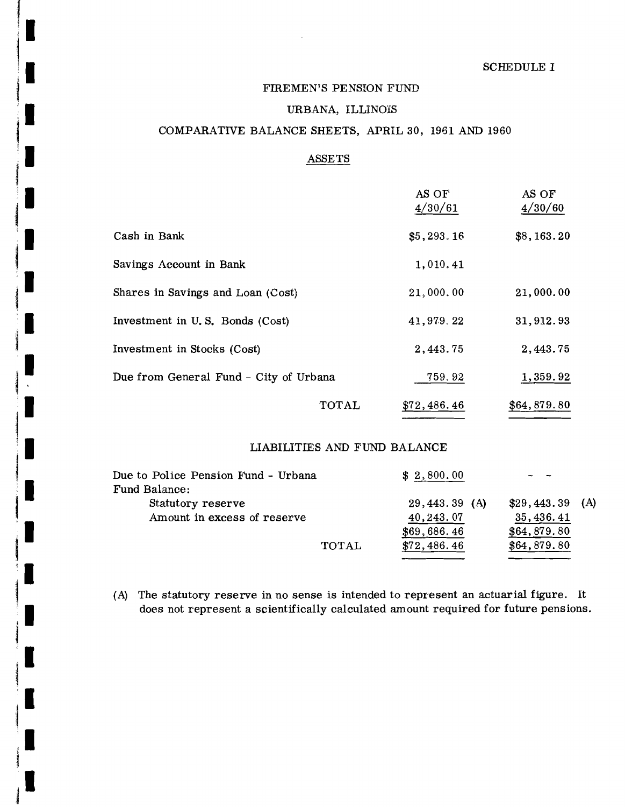## FIREMEN'S PENSION FUND

 $\bar{\lambda}$ 

I

۱

۰

## URBANA, ILLINOIS

## COMPARATIVE BALANCE SHEETS, APRIL 30, 1961 AND 1960

## ASSETS

|                                        | AS OF<br>4/30/61 | AS OF<br>4/30/60 |
|----------------------------------------|------------------|------------------|
| Cash in Bank                           | \$5,293.16       | \$8,163.20       |
| Savings Account in Bank                | 1,010.41         |                  |
| Shares in Savings and Loan (Cost)      | 21,000.00        | 21,000.00        |
| Investment in U.S. Bonds (Cost)        | 41,979.22        | 31, 912.93       |
| Investment in Stocks (Cost)            | 2,443.75         | 2,443.75         |
| Due from General Fund - City of Urbana | 759.92           | 1,359.92         |
| TOTAL                                  | \$72,486.46      | \$64,879.80      |

#### LIABILITIES AND FUND BALANCE

| Due to Police Pension Fund - Urbana |              | \$2,800.00      |                  |  |
|-------------------------------------|--------------|-----------------|------------------|--|
| Fund Balance:                       |              |                 |                  |  |
| Statutory reserve                   |              | $29,443.39$ (A) | $$29,443.39$ (A) |  |
| Amount in excess of reserve         |              | 40, 243.07      | 35, 436. 41      |  |
|                                     |              | \$69,686.46     | \$64,879.80      |  |
|                                     | <b>TOTAL</b> | \$72,486.46     | \$64,879.80      |  |

(A) The statutory reserve in no sense is intended to represent an actuarial figure. It does not represent a scientifically calculated amount required for future pensions.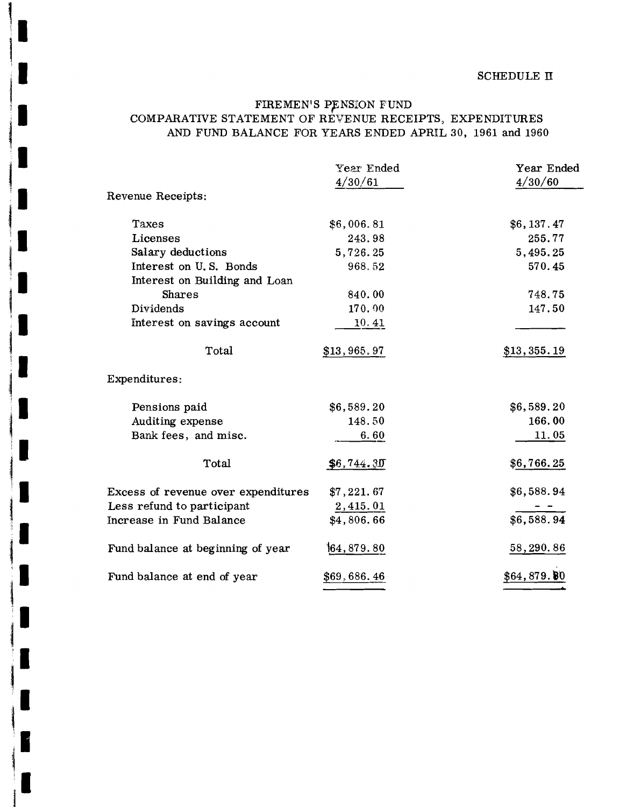## FIREMEN'S PENSION FUND COMPARATIVE STATEMENT OF REVENUE RECEIPTS, EXPENDITURES AND FUND BALANCE FOR YEARS ENDED APRIL 30, 1961 and 1960

|                                     | Year Ended<br>4/30/61 | Year Ended<br>4/30/60 |
|-------------------------------------|-----------------------|-----------------------|
| Revenue Receipts:                   |                       |                       |
| Taxes                               | \$6,006.81            | \$6,137.47            |
| Licenses                            | 243.98                | 255.77                |
| Salary deductions                   | 5,726.25              | 5,495.25              |
| Interest on U.S. Bonds              | 968.52                | 570.45                |
| Interest on Building and Loan       |                       |                       |
| Shares                              | 840.00                | 748.75                |
| Dividends                           | 170.00                | 147.50                |
| Interest on savings account         | 10.41                 |                       |
| Total                               | \$13,965.97           | \$13,355.19           |
| Expenditures:                       |                       |                       |
| Pensions paid                       | \$6,589.20            | \$6,589.20            |
| Auditing expense                    | 148.50                | 166.00                |
| Bank fees, and misc.                | 6.60                  | 11.05                 |
| Total                               | \$6,744.30            | \$6,766.25            |
| Excess of revenue over expenditures | \$7,221.67            | \$6,588.94            |
| Less refund to participant          | 2,415.01              |                       |
| Increase in Fund Balance            | \$4,806.66            | \$6,588.94            |
| Fund balance at beginning of year   | 164, 879. 80          | 58,290.86             |
| Fund balance at end of year         | \$69,686.46           | \$64,879.00           |